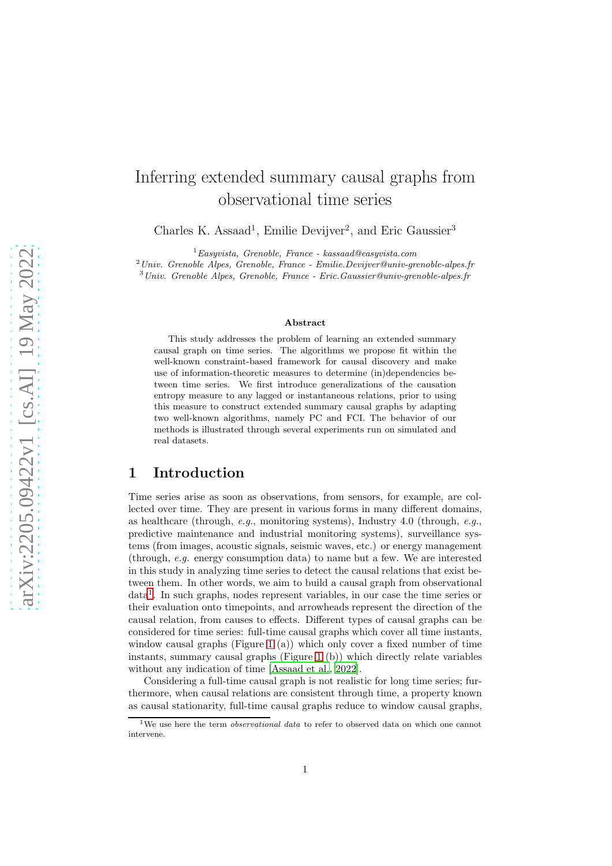# Inferring extended summary causal graphs from observational time series

Charles K. Assaad<sup>1</sup>, Emilie Devijver<sup>2</sup>, and Eric Gaussier<sup>3</sup>

 ${}^{1}E$ asyvista, Grenoble, France - kassaad@easyvista.com

 $^{2}$ Univ. Grenoble Alpes, Grenoble, France - Emilie.Devijver@univ-grenoble-alpes.fr

<sup>3</sup>Univ. Grenoble Alpes, Grenoble, France - Eric.Gaussier@univ-grenoble-alpes.fr

#### Abstract

This study addresses the problem of learning an extended summary causal graph on time series. The algorithms we propose fit within the well-known constraint-based framework for causal discovery and make use of information-theoretic measures to determine (in)dependencies between time series. We first introduce generalizations of the causation entropy measure to any lagged or instantaneous relations, prior to using this measure to construct extended summary causal graphs by adapting two well-known algorithms, namely PC and FCI. The behavior of our methods is illustrated through several experiments run on simulated and real datasets.

### 1 Introduction

Time series arise as soon as observations, from sensors, for example, are collected over time. They are present in various forms in many different domains, as healthcare (through, e.g., monitoring systems), Industry 4.0 (through, e.g., predictive maintenance and industrial monitoring systems), surveillance systems (from images, acoustic signals, seismic waves, etc.) or energy management (through, e.g. energy consumption data) to name but a few. We are interested in this study in analyzing time series to detect the causal relations that exist between them. In other words, we aim to build a causal graph from observational data[1](#page-0-0) . In such graphs, nodes represent variables, in our case the time series or their evaluation onto timepoints, and arrowheads represent the direction of the causal relation, from causes to effects. Different types of causal graphs can be considered for time series: full-time causal graphs which cover all time instants, window causal graphs (Figure [1](#page-1-0) (a)) which only cover a fixed number of time instants, summary causal graphs (Figure [1](#page-1-0) (b)) which directly relate variables without any indication of time [\[Assaad et al.](#page-13-0), [2022\]](#page-13-0).

Considering a full-time causal graph is not realistic for long time series; furthermore, when causal relations are consistent through time, a property known as causal stationarity, full-time causal graphs reduce to window causal graphs,

<span id="page-0-0"></span><sup>&</sup>lt;sup>1</sup>We use here the term *observational data* to refer to observed data on which one cannot intervene.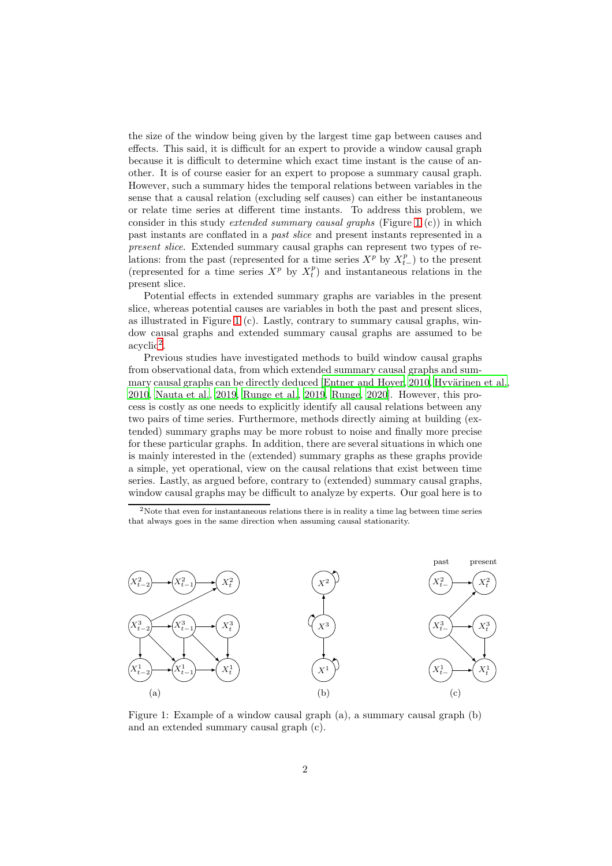the size of the window being given by the largest time gap between causes and effects. This said, it is difficult for an expert to provide a window causal graph because it is difficult to determine which exact time instant is the cause of another. It is of course easier for an expert to propose a summary causal graph. However, such a summary hides the temporal relations between variables in the sense that a causal relation (excluding self causes) can either be instantaneous or relate time series at different time instants. To address this problem, we consider in this study *extended summary causal graphs* (Figure [1](#page-1-0) (c)) in which past instants are conflated in a past slice and present instants represented in a present slice. Extended summary causal graphs can represent two types of relations: from the past (represented for a time series  $X^p$  by  $X_{t-}^p$ ) to the present (represented for a time series  $X^p$  by  $X_t^p$ ) and instantaneous relations in the present slice.

Potential effects in extended summary graphs are variables in the present slice, whereas potential causes are variables in both the past and present slices, as illustrated in Figure [1](#page-1-0) (c). Lastly, contrary to summary causal graphs, window causal graphs and extended summary causal graphs are assumed to be  $acyclic<sup>2</sup>$  $acyclic<sup>2</sup>$  $acyclic<sup>2</sup>$ .

Previous studies have investigated methods to build window causal graphs from observational data, from which extended summary causal graphs and sum-mary causal graphs can be directly deduced [\[Entner and Hoyer, 2010,](#page-13-1) Hyvärinen et al., [2010,](#page-13-2) [Nauta et al., 2019,](#page-14-0) [Runge et al., 2019,](#page-14-1) [Runge](#page-14-2), [2020\]](#page-14-2). However, this process is costly as one needs to explicitly identify all causal relations between any two pairs of time series. Furthermore, methods directly aiming at building (extended) summary graphs may be more robust to noise and finally more precise for these particular graphs. In addition, there are several situations in which one is mainly interested in the (extended) summary graphs as these graphs provide a simple, yet operational, view on the causal relations that exist between time series. Lastly, as argued before, contrary to (extended) summary causal graphs, window causal graphs may be difficult to analyze by experts. Our goal here is to

<span id="page-1-1"></span><sup>2</sup>Note that even for instantaneous relations there is in reality a time lag between time series that always goes in the same direction when assuming causal stationarity.

<span id="page-1-0"></span>

Figure 1: Example of a window causal graph (a), a summary causal graph (b) and an extended summary causal graph (c).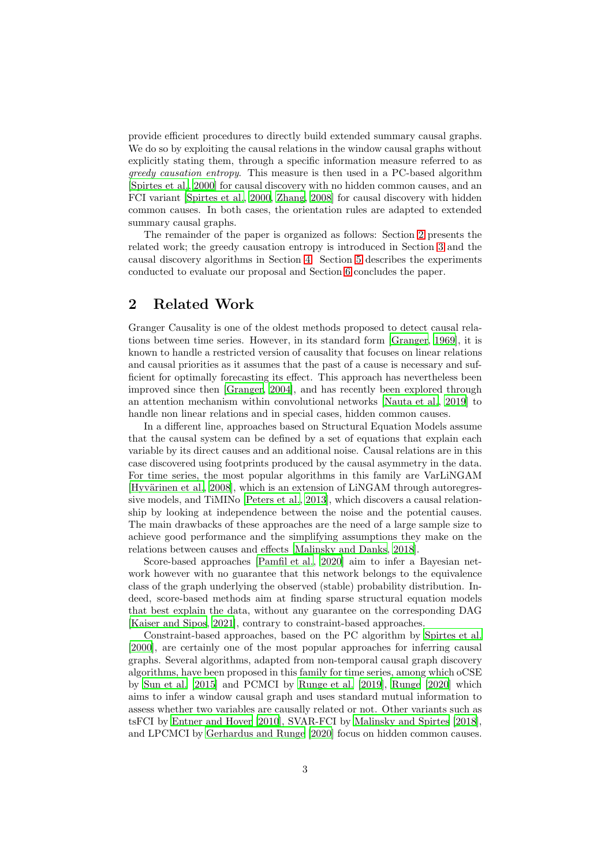provide efficient procedures to directly build extended summary causal graphs. We do so by exploiting the causal relations in the window causal graphs without explicitly stating them, through a specific information measure referred to as greedy causation entropy. This measure is then used in a PC-based algorithm [\[Spirtes et al., 2000\]](#page-14-3) for causal discovery with no hidden common causes, and an FCI variant [\[Spirtes et al., 2000](#page-14-3), [Zhang](#page-15-0), [2008](#page-15-0)] for causal discovery with hidden common causes. In both cases, the orientation rules are adapted to extended summary causal graphs.

The remainder of the paper is organized as follows: Section [2](#page-2-0) presents the related work; the greedy causation entropy is introduced in Section [3](#page-3-0) and the causal discovery algorithms in Section [4.](#page-5-0) Section [5](#page-8-0) describes the experiments conducted to evaluate our proposal and Section [6](#page-12-0) concludes the paper.

### <span id="page-2-0"></span>2 Related Work

Granger Causality is one of the oldest methods proposed to detect causal relations between time series. However, in its standard form [\[Granger](#page-13-3), [1969\]](#page-13-3), it is known to handle a restricted version of causality that focuses on linear relations and causal priorities as it assumes that the past of a cause is necessary and sufficient for optimally forecasting its effect. This approach has nevertheless been improved since then [\[Granger, 2004\]](#page-13-4), and has recently been explored through an attention mechanism within convolutional networks [\[Nauta et al.](#page-14-0), [2019\]](#page-14-0) to handle non linear relations and in special cases, hidden common causes.

In a different line, approaches based on Structural Equation Models assume that the causal system can be defined by a set of equations that explain each variable by its direct causes and an additional noise. Causal relations are in this case discovered using footprints produced by the causal asymmetry in the data. For time series, the most popular algorithms in this family are VarLiNGAM [Hyvärinen et al., [2008\]](#page-13-5), which is an extension of LiNGAM through autoregressive models, and TiMINo [\[Peters et al., 2013](#page-14-4)], which discovers a causal relationship by looking at independence between the noise and the potential causes. The main drawbacks of these approaches are the need of a large sample size to achieve good performance and the simplifying assumptions they make on the relations between causes and effects [\[Malinsky and Danks](#page-14-5), [2018\]](#page-14-5).

Score-based approaches [\[Pamfil et al., 2020](#page-14-6)] aim to infer a Bayesian network however with no guarantee that this network belongs to the equivalence class of the graph underlying the observed (stable) probability distribution. Indeed, score-based methods aim at finding sparse structural equation models that best explain the data, without any guarantee on the corresponding DAG [\[Kaiser and Sipos, 2021](#page-13-6)], contrary to constraint-based approaches.

Constraint-based approaches, based on the PC algorithm by [Spirtes et al.](#page-14-3) [\[2000\]](#page-14-3), are certainly one of the most popular approaches for inferring causal graphs. Several algorithms, adapted from non-temporal causal graph discovery algorithms, have been proposed in this family for time series, among which oCSE by [Sun et al. \[2015](#page-14-7)] and PCMCI by [Runge et al. \[2019\]](#page-14-1), [Runge \[2020](#page-14-2)] which aims to infer a window causal graph and uses standard mutual information to assess whether two variables are causally related or not. Other variants such as tsFCI by [Entner and Hoyer \[2010](#page-13-1)], SVAR-FCI by [Malinsky and Spirtes](#page-14-8) [\[2018\]](#page-14-8), and LPCMCI by [Gerhardus and Runge \[2020](#page-13-7)] focus on hidden common causes.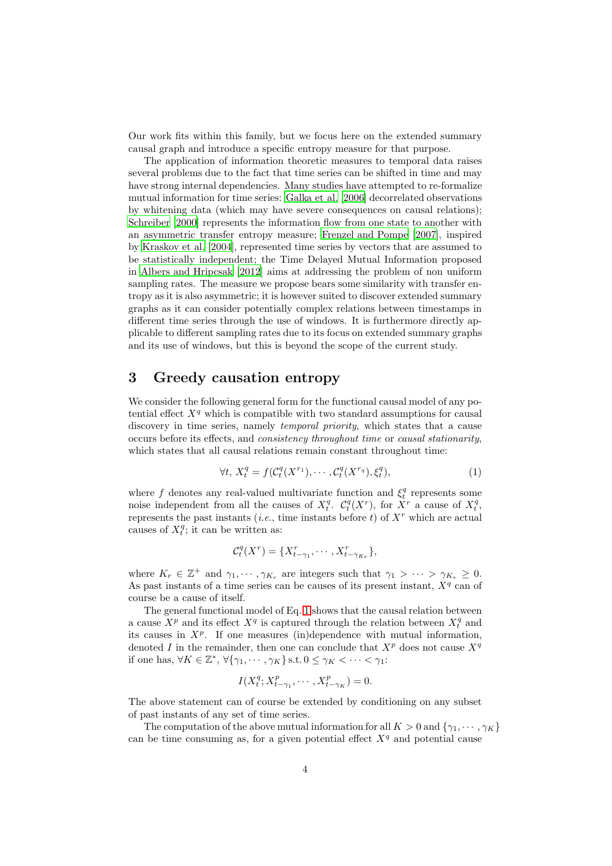Our work fits within this family, but we focus here on the extended summary causal graph and introduce a specific entropy measure for that purpose.

The application of information theoretic measures to temporal data raises several problems due to the fact that time series can be shifted in time and may have strong internal dependencies. Many studies have attempted to re-formalize mutual information for time series: [Galka et al. \[2006\]](#page-13-8) decorrelated observations by whitening data (which may have severe consequences on causal relations); [Schreiber \[2000](#page-14-9)] represents the information flow from one state to another with an asymmetric transfer entropy measure; [Frenzel and Pompe \[2007\]](#page-13-9), inspired by [Kraskov et al. \[2004\]](#page-13-10), represented time series by vectors that are assumed to be statistically independent; the Time Delayed Mutual Information proposed in [Albers and Hripcsak \[2012](#page-12-1)] aims at addressing the problem of non uniform sampling rates. The measure we propose bears some similarity with transfer entropy as it is also asymmetric; it is however suited to discover extended summary graphs as it can consider potentially complex relations between timestamps in different time series through the use of windows. It is furthermore directly applicable to different sampling rates due to its focus on extended summary graphs and its use of windows, but this is beyond the scope of the current study.

## <span id="page-3-0"></span>3 Greedy causation entropy

We consider the following general form for the functional causal model of any potential effect  $X<sup>q</sup>$  which is compatible with two standard assumptions for causal discovery in time series, namely *temporal priority*, which states that a cause occurs before its effects, and consistency throughout time or causal stationarity, which states that all causal relations remain constant throughout time:

<span id="page-3-1"></span>
$$
\forall t, X_t^q = f(\mathcal{C}_t^q(X^{r_1}), \cdots, \mathcal{C}_t^q(X^{r_q}), \xi_t^q), \tag{1}
$$

where f denotes any real-valued multivariate function and  $\xi_t^q$  represents some noise independent from all the causes of  $X_t^q$ .  $\mathcal{C}_t^q(X^r)$ , for  $\tilde{X}^r$  a cause of  $X_t^q$ , represents the past instants (*i.e.*, time instants before t) of  $X<sup>r</sup>$  which are actual causes of  $X_t^q$ ; it can be written as:

$$
\mathcal{C}_t^q(X^r) = \{X_{t-\gamma_1}^r, \cdots, X_{t-\gamma_{K_r}}^r\},\
$$

where  $K_r \in \mathbb{Z}^+$  and  $\gamma_1, \cdots, \gamma_{K_r}$  are integers such that  $\gamma_1 > \cdots > \gamma_{K_r} \geq 0$ . As past instants of a time series can be causes of its present instant,  $X<sup>q</sup>$  can of course be a cause of itself.

The general functional model of Eq. [1](#page-3-1) shows that the causal relation between a cause  $X^p$  and its effect  $X^q$  is captured through the relation between  $X_t^q$  and its causes in  $X^p$ . If one measures (in)dependence with mutual information, denoted I in the remainder, then one can conclude that  $X^p$  does not cause  $X^q$ if one has,  $\forall K \in \mathbb{Z}^*, \forall {\gamma_1, \cdots, \gamma_K}$  s.t.  $0 \leq \gamma_K < \cdots < \gamma_1$ :

$$
I(X_t^q; X_{t-\gamma_1}^p, \cdots, X_{t-\gamma_K}^p) = 0.
$$

The above statement can of course be extended by conditioning on any subset of past instants of any set of time series.

The computation of the above mutual information for all  $K > 0$  and  $\{\gamma_1, \dots, \gamma_K\}$ can be time consuming as, for a given potential effect  $X<sup>q</sup>$  and potential cause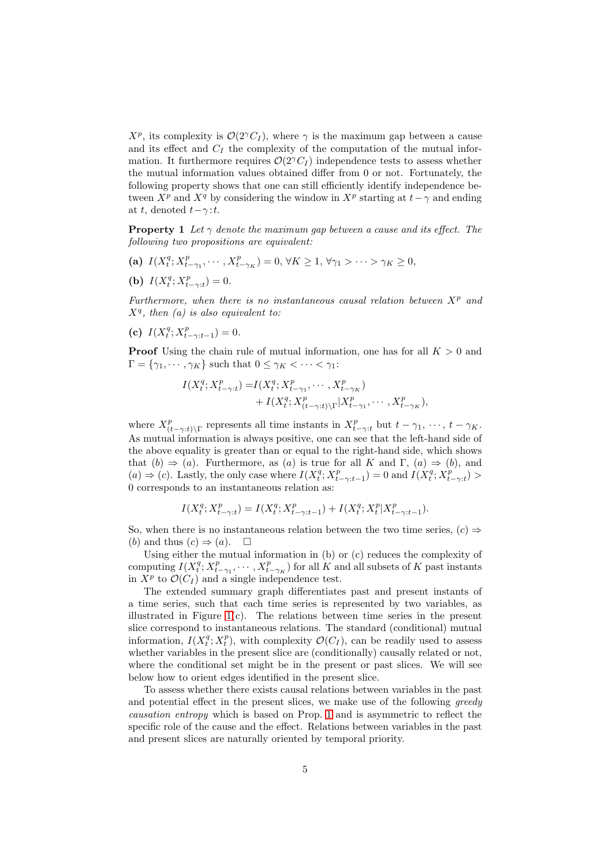$X^p$ , its complexity is  $\mathcal{O}(2^{\gamma}C_I)$ , where  $\gamma$  is the maximum gap between a cause and its effect and  $C_I$  the complexity of the computation of the mutual information. It furthermore requires  $\mathcal{O}(2^{\gamma}C_I)$  independence tests to assess whether the mutual information values obtained differ from 0 or not. Fortunately, the following property shows that one can still efficiently identify independence between  $X^p$  and  $X^q$  by considering the window in  $X^p$  starting at  $t-\gamma$  and ending at t, denoted  $t-\gamma$ :t.

<span id="page-4-0"></span>**Property 1** Let  $\gamma$  denote the maximum gap between a cause and its effect. The following two propositions are equivalent:

- (a)  $I(X_t^q; X_{t-\gamma_1}^p, \dots, X_{t-\gamma_K}^p) = 0, \forall K \ge 1, \forall \gamma_1 > \dots > \gamma_K \ge 0,$
- (**b**)  $I(X_t^q; X_{t-\gamma:t}^p) = 0.$

Furthermore, when there is no instantaneous causal relation between  $X^p$  and  $X<sup>q</sup>$ , then (a) is also equivalent to:

(c)  $I(X_t^q; X_{t-\gamma:t-1}^p) = 0.$ 

**Proof** Using the chain rule of mutual information, one has for all  $K > 0$  and  $\Gamma = \{\gamma_1, \cdots, \gamma_K\}$  such that  $0 \leq \gamma_K < \cdots < \gamma_1$ :

$$
I(X_t^q; X_{t-\gamma:t}^p) = I(X_t^q; X_{t-\gamma_1}^p, \cdots, X_{t-\gamma_K}^p) + I(X_t^q; X_{(t-\gamma:t)\backslash\Gamma}^p | X_{t-\gamma_1}^p, \cdots, X_{t-\gamma_K}^p),
$$

where  $X_{\alpha}^p$  $\sum_{(t-\gamma:t)\backslash\Gamma}^p$  represents all time instants in  $X_{t-\gamma:t}^p$  but  $t-\gamma_1, \dots, t-\gamma_K$ . As mutual information is always positive, one can see that the left-hand side of the above equality is greater than or equal to the right-hand side, which shows that  $(b) \Rightarrow (a)$ . Furthermore, as  $(a)$  is true for all K and  $\Gamma$ ,  $(a) \Rightarrow (b)$ , and  $(a) \Rightarrow (c)$ . Lastly, the only case where  $I(X_t^q; X_{t-\gamma:t-1}^p) = 0$  and  $I(X_t^q; X_{t-\gamma:t}^p)$ 0 corresponds to an instantaneous relation as:

$$
I(X_t^q; X_{t-\gamma:t}^p) = I(X_t^q; X_{t-\gamma:t-1}^p) + I(X_t^q; X_t^p | X_{t-\gamma:t-1}^p).
$$

So, when there is no instantaneous relation between the two time series,  $(c) \Rightarrow$ (b) and thus  $(c) \Rightarrow (a)$ .  $\Box$ 

Using either the mutual information in (b) or (c) reduces the complexity of computing  $I(X_t^q; X_{t-\gamma_1}^p, \cdots, X_{t-\gamma_K}^p)$  for all K and all subsets of K past instants in  $X^p$  to  $\mathcal{O}(C_I)$  and a single independence test.

The extended summary graph differentiates past and present instants of a time series, such that each time series is represented by two variables, as illustrated in Figure  $1(c)$ . The relations between time series in the present slice correspond to instantaneous relations. The standard (conditional) mutual information,  $I(X_t^q; X_t^p)$ , with complexity  $\mathcal{O}(C_I)$ , can be readily used to assess whether variables in the present slice are (conditionally) causally related or not, where the conditional set might be in the present or past slices. We will see below how to orient edges identified in the present slice.

To assess whether there exists causal relations between variables in the past and potential effect in the present slices, we make use of the following greedy causation entropy which is based on Prop. [1](#page-4-0) and is asymmetric to reflect the specific role of the cause and the effect. Relations between variables in the past and present slices are naturally oriented by temporal priority.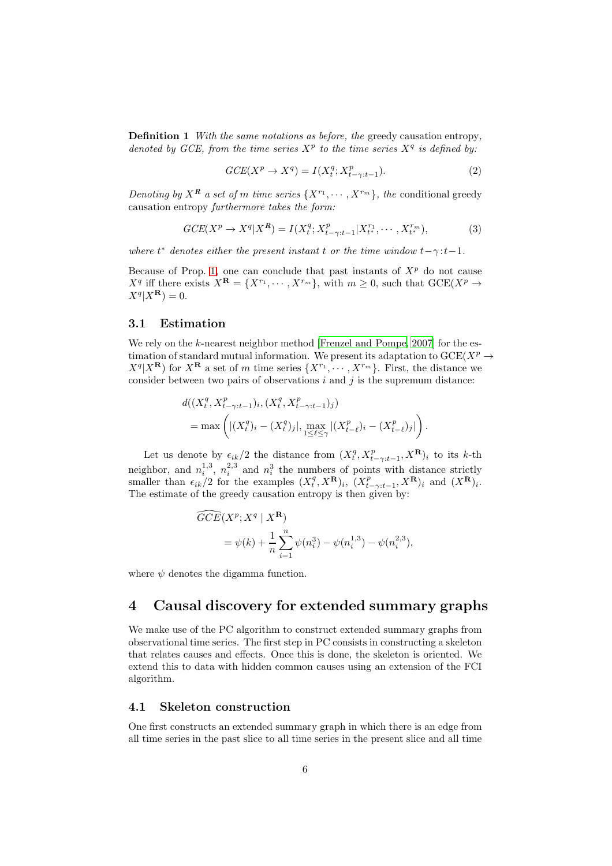Definition 1 With the same notations as before, the greedy causation entropy, denoted by GCE, from the time series  $X^p$  to the time series  $X^q$  is defined by:

$$
GCE(X^p \to X^q) = I(X_t^q; X_{t-\gamma:t-1}^p). \tag{2}
$$

Denoting by  $X^{\mathbf{R}}$  a set of m time series  $\{X^{r_1}, \cdots, X^{r_m}\}\$ , the conditional greedy causation entropy furthermore takes the form:

$$
GCE(X^{p} \to X^{q} | X^{R}) = I(X_{t}^{q}; X_{t-\gamma:t-1}^{p} | X_{t}^{r_{1}}, \cdots, X_{t}^{r_{m}}),
$$
\n(3)

where  $t^*$  denotes either the present instant t or the time window  $t-\gamma:t-1$ .

Because of Prop. [1,](#page-4-0) one can conclude that past instants of  $X<sup>p</sup>$  do not cause  $X^q$  iff there exists  $X^{\mathbf{R}} = \{X^{r_1}, \cdots, X^{r_m}\}$ , with  $m \geq 0$ , such that  $GCE(X^p \rightarrow$  $X^q | X^{\mathbf{R}} \rangle = 0.$ 

#### 3.1 Estimation

We rely on the k-nearest neighbor method [\[Frenzel and Pompe](#page-13-9), [2007\]](#page-13-9) for the estimation of standard mutual information. We present its adaptation to  $\text{GCE}(X^p \to$  $X^q|X^{\mathbf{R}}$  for  $X^{\mathbf{R}}$  a set of m time series  $\{X^{r_1}, \cdots, X^{r_m}\}$ . First, the distance we consider between two pairs of observations  $i$  and  $j$  is the supremum distance:

$$
d((X_t^q, X_{t-\gamma:t-1}^p)_i, (X_t^q, X_{t-\gamma:t-1}^p)_j)
$$
  
= 
$$
\max \left( |(X_t^q)_i - (X_t^q)_j|, \max_{1 \leq \ell \leq \gamma} |(X_{t-\ell}^p)_i - (X_{t-\ell}^p)_j| \right).
$$

Let us denote by  $\epsilon_{ik}/2$  the distance from  $(X_t^q, X_{t-\gamma:t-1}^p, X^{\mathbf{R}})_i$  to its k-th neighbor, and  $n_i^{1,3}, n_i^{2,3}$  and  $n_i^3$  the numbers of points with distance strictly smaller than  $\epsilon_{ik}/2$  for the examples  $(X_t^q, X^{\mathbf{R}})_i$ ,  $(X_{t-\gamma:t-1}^p, X^{\mathbf{R}})_i$  and  $(X^{\mathbf{R}})_i$ . The estimate of the greedy causation entropy is then given by:

$$
\begin{aligned} \widehat{GCE}(X^p; X^q | X^{\mathbf{R}}) \\ &= \psi(k) + \frac{1}{n} \sum_{i=1}^n \psi(n_i^3) - \psi(n_i^{1,3}) - \psi(n_i^{2,3}), \end{aligned}
$$

where  $\psi$  denotes the digamma function.

# <span id="page-5-0"></span>4 Causal discovery for extended summary graphs

We make use of the PC algorithm to construct extended summary graphs from observational time series. The first step in PC consists in constructing a skeleton that relates causes and effects. Once this is done, the skeleton is oriented. We extend this to data with hidden common causes using an extension of the FCI algorithm.

#### <span id="page-5-1"></span>4.1 Skeleton construction

One first constructs an extended summary graph in which there is an edge from all time series in the past slice to all time series in the present slice and all time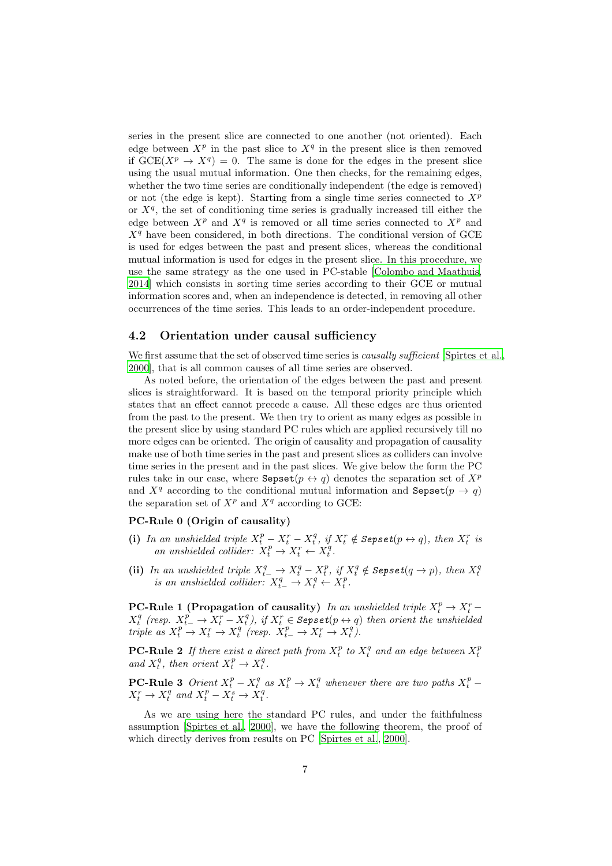series in the present slice are connected to one another (not oriented). Each edge between  $X^p$  in the past slice to  $X^q$  in the present slice is then removed if  $GCE(X^p \to X^q) = 0$ . The same is done for the edges in the present slice using the usual mutual information. One then checks, for the remaining edges, whether the two time series are conditionally independent (the edge is removed) or not (the edge is kept). Starting from a single time series connected to  $X^p$ or  $X<sup>q</sup>$ , the set of conditioning time series is gradually increased till either the edge between  $X^p$  and  $X^q$  is removed or all time series connected to  $X^p$  and  $X<sup>q</sup>$  have been considered, in both directions. The conditional version of GCE is used for edges between the past and present slices, whereas the conditional mutual information is used for edges in the present slice. In this procedure, we use the same strategy as the one used in PC-stable [\[Colombo and Maathuis,](#page-13-11) [2014\]](#page-13-11) which consists in sorting time series according to their GCE or mutual information scores and, when an independence is detected, in removing all other occurrences of the time series. This leads to an order-independent procedure.

#### 4.2 Orientation under causal sufficiency

We first assume that the set of observed time series is *causally sufficient* [\[Spirtes et al.](#page-14-3), [2000\]](#page-14-3), that is all common causes of all time series are observed.

As noted before, the orientation of the edges between the past and present slices is straightforward. It is based on the temporal priority principle which states that an effect cannot precede a cause. All these edges are thus oriented from the past to the present. We then try to orient as many edges as possible in the present slice by using standard PC rules which are applied recursively till no more edges can be oriented. The origin of causality and propagation of causality make use of both time series in the past and present slices as colliders can involve time series in the present and in the past slices. We give below the form the PC rules take in our case, where  $\text{Sepset}(p \leftrightarrow q)$  denotes the separation set of  $X^p$ and  $X^q$  according to the conditional mutual information and Sepset( $p \rightarrow q$ ) the separation set of  $X^p$  and  $X^q$  according to GCE:

#### PC-Rule 0 (Origin of causality)

- (i) In an unshielded triple  $X_t^p X_t^r X_t^q$ , if  $X_t^r \notin \text{Sepset}(p \leftrightarrow q)$ , then  $X_t^r$  is an unshielded collider:  $X_t^p \to X_t^r \leftarrow X_t^q$ .
- (ii) In an unshielded triple  $X_{t-}^q \to X_t^q X_t^p$ , if  $X_t^q \notin \mathbf{Sepset}(q \to p)$ , then  $X_t^q$  is an unshielded collider:  $X_{t-}^q \to X_t^q \leftarrow X_t^p$ .

**PC-Rule 1 (Propagation of causality)** In an unshielded triple  $X_t^p \to X_t^r$  $X_t^q$  (resp.  $X_{t-}^p \rightarrow X_t^r - X_t^q$ ), if  $X_t^r \in \text{Sepset}(p \leftrightarrow q)$  then orient the unshielded triple as  $X_t^p \to X_t^r \to X_t^q$  (resp.  $X_{t-}^p \to X_t^r \to X_t^q$ ).

**PC-Rule 2** If there exist a direct path from  $X_t^p$  to  $X_t^q$  and an edge between  $X_t^p$  and  $X_t^q$ , then orient  $X_t^p \to X_t^q$ .

**PC-Rule 3** Orient  $X_t^p - X_t^q$  as  $X_t^p \to X_t^q$  whenever there are two paths  $X_t^p$  –  $X_t^r \to X_t^q$  and  $X_t^p - X_t^s \to X_t^q$ .

As we are using here the standard PC rules, and under the faithfulness assumption [\[Spirtes et al., 2000\]](#page-14-3), we have the following theorem, the proof of which directly derives from results on PC [\[Spirtes et al.](#page-14-3), [2000\]](#page-14-3).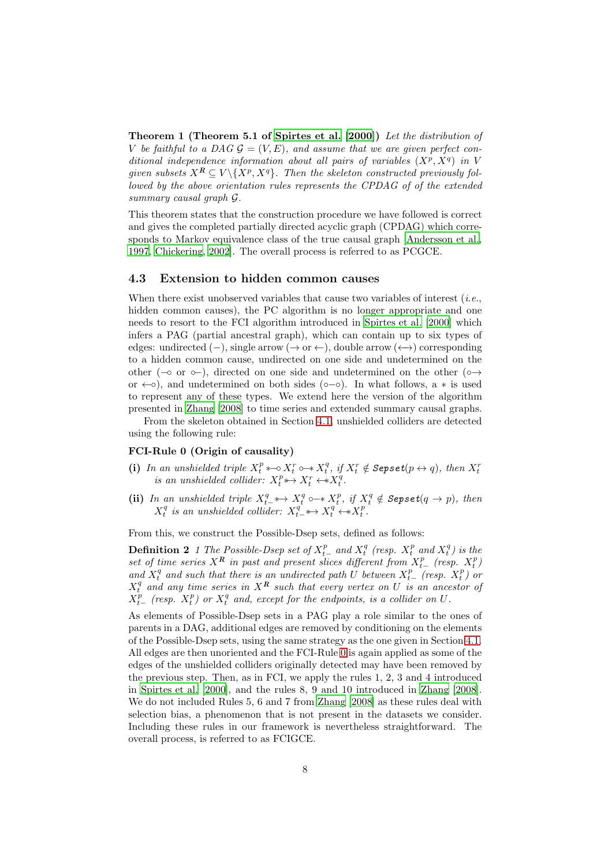Theorem 1 (Theorem 5.1 of [Spirtes et al. \[2000\]](#page-14-3)) Let the distribution of V be faithful to a DAG  $\mathcal{G} = (V, E)$ , and assume that we are given perfect conditional independence information about all pairs of variables  $(X^p, X^q)$  in V given subsets  $X^{\mathbf{R}} \subseteq V \setminus \{X^p, X^q\}$ . Then the skeleton constructed previously followed by the above orientation rules represents the CPDAG of of the extended summary causal graph G.

This theorem states that the construction procedure we have followed is correct and gives the completed partially directed acyclic graph (CPDAG) which corresponds to Markov equivalence class of the true causal graph [\[Andersson et al.,](#page-12-2) [1997,](#page-12-2) [Chickering](#page-13-12), [2002](#page-13-12)]. The overall process is referred to as PCGCE.

#### 4.3 Extension to hidden common causes

When there exist unobserved variables that cause two variables of interest  $(i.e.,$ hidden common causes), the PC algorithm is no longer appropriate and one needs to resort to the FCI algorithm introduced in [Spirtes et al. \[2000\]](#page-14-3) which infers a PAG (partial ancestral graph), which can contain up to six types of edges: undirected (−), single arrow (→ or ←), double arrow (←+) corresponding to a hidden common cause, undirected on one side and undetermined on the other ( $\sim$  or  $\sim$ ), directed on one side and undetermined on the other ( $\circ \rightarrow$ or  $\leftarrow \circ$ ), and undetermined on both sides (∘–∘). In what follows, a  $*$  is used to represent any of these types. We extend here the version of the algorithm presented in [Zhang \[2008](#page-15-0)] to time series and extended summary causal graphs.

<span id="page-7-0"></span>From the skeleton obtained in Section [4.1,](#page-5-1) unshielded colliders are detected using the following rule:

#### FCI-Rule 0 (Origin of causality)

- (i) In an unshielded triple  $X_t^p \leftarrow X_t^r \leftarrow X_t^q$ , if  $X_t^r \notin \text{Sepset}(p \leftrightarrow q)$ , then  $X_t^r$  is an unshielded collider:  $X_t^p \leftrightarrow X_t^r \leftarrow X_t^q$ .
- (ii) In an unshielded triple  $X_t^q \leftrightarrow X_t^q \circ \rightarrow X_t^p$ , if  $X_t^q \notin \text{Sepset}(q \rightarrow p)$ , then  $X_t^q$  is an unshielded collider:  $X_{t-}^q \leftrightarrow X_t^q \leftrightarrow X_t^p$ .

From this, we construct the Possible-Dsep sets, defined as follows:

**Definition 2** 1 The Possible-Dsep set of  $X_{t-}^p$  and  $X_t^q$  (resp.  $X_t^p$  and  $X_t^q$ ) is the **Definition**  $\mathbf{Z}^T$  if the 1 ossume-Dsep set of  $X_{t-}$  and  $X_t$  (resp.  $X_t$  and  $X_t$ ) is the set of time series  $X^R$  in past and present slices different from  $X_{t-}^p$  (resp.  $X_t^p$ ) and  $X_t^q$  and such that there is an undirected path U between  $X_{t-}^p$  (resp.  $X_t^p$ ) or  $X_t^q$  and any time series in  $X^R$  such that every vertex on U is an ancestor of  $X_{t-}^p$  (resp.  $X_t^p$ ) or  $X_t^q$  and, except for the endpoints, is a collider on U.

As elements of Possible-Dsep sets in a PAG play a role similar to the ones of parents in a DAG, additional edges are removed by conditioning on the elements of the Possible-Dsep sets, using the same strategy as the one given in Section [4.1.](#page-5-1) All edges are then unoriented and the FCI-Rule [0](#page-7-0) is again applied as some of the edges of the unshielded colliders originally detected may have been removed by the previous step. Then, as in FCI, we apply the rules 1, 2, 3 and 4 introduced in [Spirtes et al. \[2000](#page-14-3)], and the rules 8, 9 and 10 introduced in [Zhang \[2008\]](#page-15-0). We do not included Rules 5, 6 and 7 from [Zhang \[2008\]](#page-15-0) as these rules deal with selection bias, a phenomenon that is not present in the datasets we consider. Including these rules in our framework is nevertheless straightforward. The overall process, is referred to as FCIGCE.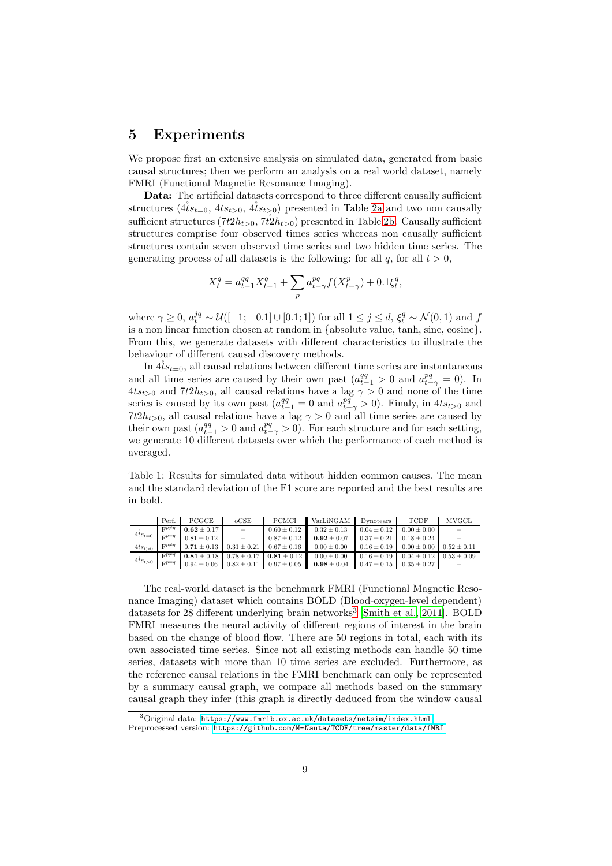### <span id="page-8-0"></span>5 Experiments

We propose first an extensive analysis on simulated data, generated from basic causal structures; then we perform an analysis on a real world dataset, namely FMRI (Functional Magnetic Resonance Imaging).

Data: The artificial datasets correspond to three different causally sufficient structures ( $4$ is<sub>t=0</sub>,  $4$ is<sub>t>0</sub>,  $4$ is<sub>t>0</sub>) presented in Table [2a](#page-9-0) and two non causally sufficient structures  $(7t2h_{t>0}, 7t2h_{t>0})$  presented in Table [2b.](#page-9-0) Causally sufficient structures comprise four observed times series whereas non causally sufficient structures contain seven observed time series and two hidden time series. The generating process of all datasets is the following: for all  $q$ , for all  $t > 0$ ,

$$
X_t^q = a_{t-1}^{qq} X_{t-1}^q + \sum_p a_{t-\gamma}^{pq} f(X_{t-\gamma}^p) + 0.1 \xi_t^q,
$$

where  $\gamma \ge 0$ ,  $a_t^{jq} \sim \mathcal{U}([-1; -0.1] \cup [0.1; 1])$  for all  $1 \le j \le d$ ,  $\xi_t^q \sim \mathcal{N}(0, 1)$  and  $f$ is a non linear function chosen at random in {absolute value, tanh, sine, cosine}. From this, we generate datasets with different characteristics to illustrate the behaviour of different causal discovery methods.

In  $4$ its<sub>t=0</sub>, all causal relations between different time series are instantaneous and all time series are caused by their own past  $(a_{t-1}^{qq} > 0$  and  $a_{t-\gamma}^{pq} = 0)$ . In  $4ts_{t>0}$  and  $7t2h_{t>0}$ , all causal relations have a lag  $\gamma > 0$  and none of the time series is caused by its own past  $(a_{t-1}^{qq} = 0 \text{ and } a_{t-\gamma}^{pq} > 0)$ . Finaly, in  $4ts_{t>0}$  and  $7t2h_{t>0}$ , all causal relations have a lag  $\gamma > 0$  and all time series are caused by their own past  $(a_{t-1}^{qq} > 0$  and  $a_{t-\gamma}^{pq} > 0$ ). For each structure and for each setting, we generate 10 different datasets over which the performance of each method is averaged.

<span id="page-8-2"></span>Table 1: Results for simulated data without hidden common causes. The mean and the standard deviation of the F1 score are reported and the best results are in bold.

|                       | Perf.                   | PCGCE           | $_{\rm oCSE}$ | PCMCI | VarLiNGAM Dynotears TCDF                                                                                                                                                                  |  | <b>MVGCL</b> |
|-----------------------|-------------------------|-----------------|---------------|-------|-------------------------------------------------------------------------------------------------------------------------------------------------------------------------------------------|--|--------------|
| $4ts_{t=0}$           | $\mathbf{F}^{p \neq q}$ | $0.62 \pm 0.17$ |               |       | $0.60 \pm 0.12$ $0.32 \pm 0.13$ $0.04 \pm 0.12$ $0.00 \pm 0.00$                                                                                                                           |  |              |
|                       | $\nabla p = q$          | $0.81 \pm 0.12$ | $\equiv$      |       | $0.87 \pm 0.12$ $0.92 \pm 0.07$ $0.37 \pm 0.21$ $0.18 \pm 0.24$                                                                                                                           |  |              |
| $4ts_{t>0}$           | $\nabla p \neq q$       |                 |               |       | $0.71 \pm 0.13$ $0.31 \pm 0.21$ $0.67 \pm 0.16$ $0.00 \pm 0.00$ $0.16 \pm 0.19$ $0.00 \pm 0.00$ $0.52 \pm 0.11$                                                                           |  |              |
| $4ts_{t>0}$ $F^{p=q}$ | $F^{p \neq q}$          |                 |               |       | <b>0.81</b> $\pm$ 0.18   0.78 $\pm$ 0.17   <b>0.81</b> $\pm$ 0.12   0.00 $\pm$ 0.00   0.16 $\pm$ 0.19   0.04 $\pm$ 0.12   0.53 $\pm$ 0.09                                                 |  |              |
|                       |                         |                 |               |       | $0.94 \pm 0.06$ $\begin{bmatrix} 0.82 \pm 0.11 & 0.97 \pm 0.05 \end{bmatrix}$ $\begin{bmatrix} 0.98 \pm 0.04 & 0.47 \pm 0.15 \end{bmatrix}$ $\begin{bmatrix} 0.35 \pm 0.27 \end{bmatrix}$ |  |              |

The real-world dataset is the benchmark FMRI (Functional Magnetic Resonance Imaging) dataset which contains BOLD (Blood-oxygen-level dependent) datasets for 28 different underlying brain networks<sup>[3](#page-8-1)</sup> [\[Smith et al., 2011](#page-14-10)]. BOLD FMRI measures the neural activity of different regions of interest in the brain based on the change of blood flow. There are 50 regions in total, each with its own associated time series. Since not all existing methods can handle 50 time series, datasets with more than 10 time series are excluded. Furthermore, as the reference causal relations in the FMRI benchmark can only be represented by a summary causal graph, we compare all methods based on the summary causal graph they infer (this graph is directly deduced from the window causal

<sup>3</sup>Original data: <https://www.fmrib.ox.ac.uk/datasets/netsim/index.html>

<span id="page-8-1"></span>Preprocessed version: <https://github.com/M-Nauta/TCDF/tree/master/data/fMRI>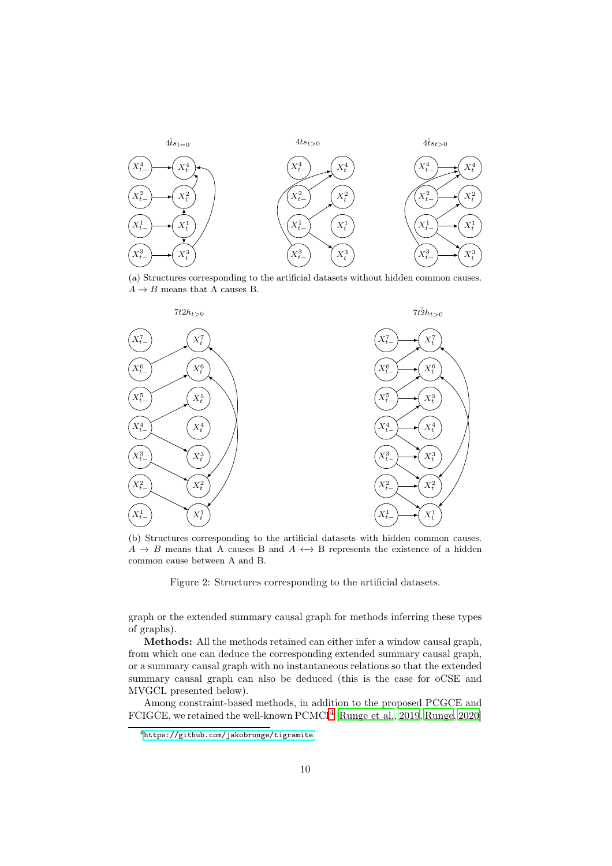<span id="page-9-0"></span>

(a) Structures corresponding to the artificial datasets without hidden common causes.  $A \rightarrow B$  means that A causes B.



(b) Structures corresponding to the artificial datasets with hidden common causes.  $A \rightarrow B$  means that A causes B and  $A \leftrightarrow B$  represents the existence of a hidden common cause between A and B.

Figure 2: Structures corresponding to the artificial datasets.

graph or the extended summary causal graph for methods inferring these types of graphs).

Methods: All the methods retained can either infer a window causal graph, from which one can deduce the corresponding extended summary causal graph, or a summary causal graph with no instantaneous relations so that the extended summary causal graph can also be deduced (this is the case for oCSE and MVGCL presented below).

Among constraint-based methods, in addition to the proposed PCGCE and FCIGCE, we retained the well-known PCMCI<sup>[4](#page-9-1)</sup> [\[Runge et al.](#page-14-1), [2019,](#page-14-1) [Runge, 2020\]](#page-14-2)

<span id="page-9-1"></span> $^4$ <https://github.com/jakobrunge/tigramite>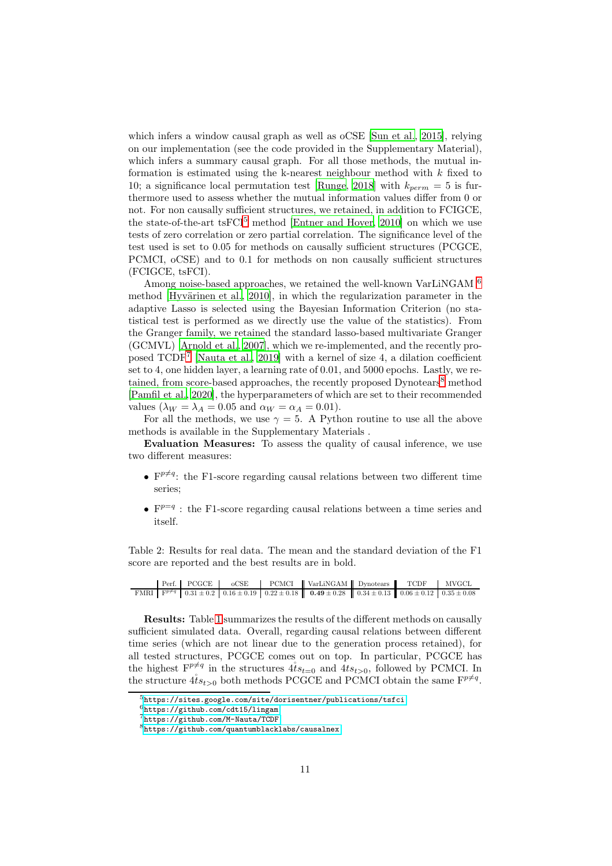which infers a window causal graph as well as oCSE [\[Sun et al.](#page-14-7), [2015\]](#page-14-7), relying on our implementation (see the code provided in the Supplementary Material), which infers a summary causal graph. For all those methods, the mutual information is estimated using the k-nearest neighbour method with  $k$  fixed to 10; a significance local permutation test [\[Runge](#page-14-11), [2018](#page-14-11)] with  $k_{perm} = 5$  is furthermore used to assess whether the mutual information values differ from 0 or not. For non causally sufficient structures, we retained, in addition to FCIGCE, the state-of-the-art tsFCI<sup>[5](#page-10-0)</sup> method [\[Entner and Hoyer, 2010\]](#page-13-1) on which we use tests of zero correlation or zero partial correlation. The significance level of the test used is set to 0.05 for methods on causally sufficient structures (PCGCE, PCMCI, oCSE) and to 0.1 for methods on non causally sufficient structures (FCIGCE, tsFCI).

Among noise-based approaches, we retained the well-known VarLiNGAM  $^6$  $^6$ method  $[Hyvärinen et al., 2010]$  $[Hyvärinen et al., 2010]$ , in which the regularization parameter in the adaptive Lasso is selected using the Bayesian Information Criterion (no statistical test is performed as we directly use the value of the statistics). From the Granger family, we retained the standard lasso-based multivariate Granger (GCMVL) [\[Arnold et al.](#page-12-3), [2007\]](#page-12-3), which we re-implemented, and the recently proposed TCDF[7](#page-10-2) [\[Nauta et al., 2019\]](#page-14-0) with a kernel of size 4, a dilation coefficient set to 4, one hidden layer, a learning rate of 0.01, and 5000 epochs. Lastly, we re-tained, from score-based approaches, the recently proposed Dynotears<sup>[8](#page-10-3)</sup> method [\[Pamfil et al.](#page-14-6), [2020\]](#page-14-6), the hyperparameters of which are set to their recommended values  $(\lambda_W = \lambda_A = 0.05$  and  $\alpha_W = \alpha_A = 0.01)$ .

For all the methods, we use  $\gamma = 5$ . A Python routine to use all the above methods is available in the Supplementary Materials .

Evaluation Measures: To assess the quality of causal inference, we use two different measures:

- $\mathbf{F}^{p \neq q}$ : the F1-score regarding causal relations between two different time series;
- $F^{p=q}$ : the F1-score regarding causal relations between a time series and itself.

<span id="page-10-4"></span>Table 2: Results for real data. The mean and the standard deviation of the F1 score are reported and the best results are in bold.

|  | Perf. PCGCE |  | oCSE PCMCI VarLiNGAM Dynotears TCDF                                                                                                                              |  | MVGCL |
|--|-------------|--|------------------------------------------------------------------------------------------------------------------------------------------------------------------|--|-------|
|  |             |  | FMRI $\begin{bmatrix} F^{p \neq q} & 0.31 \pm 0.2 & 0.16 \pm 0.19 & 0.22 \pm 0.18 & 0.49 \pm 0.28 & 0.34 \pm 0.13 & 0.06 \pm 0.12 & 0.35 \pm 0.08 \end{bmatrix}$ |  |       |

Results: Table [1](#page-8-2) summarizes the results of the different methods on causally sufficient simulated data. Overall, regarding causal relations between different time series (which are not linear due to the generation process retained), for all tested structures, PCGCE comes out on top. In particular, PCGCE has the highest  $F^{p \neq q}$  in the structures  $4 \ell s_{t=0}$  and  $4 \ell s_{t>0}$ , followed by PCMCI. In the structure  $\mathring{4}i_{s_{t>0}}$  both methods PCGCE and PCMCI obtain the same  $\mathbf{F}^{p\neq q}$ .

 $5$ <https://sites.google.com/site/dorisentner/publications/tsfci>

<span id="page-10-0"></span><sup>6</sup><https://github.com/cdt15/lingam>

<span id="page-10-1"></span><sup>7</sup><https://github.com/M-Nauta/TCDF>

<span id="page-10-3"></span><span id="page-10-2"></span><sup>8</sup><https://github.com/quantumblacklabs/causalnex>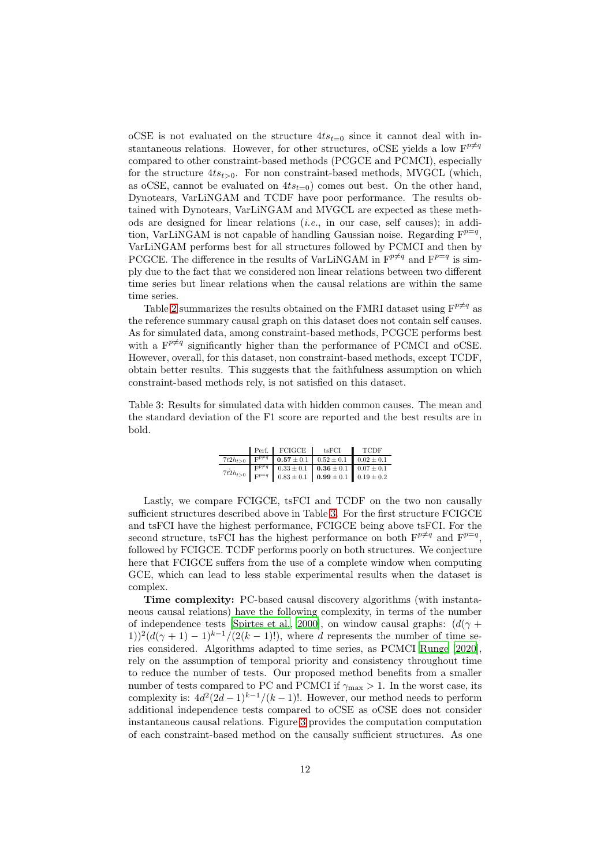oCSE is not evaluated on the structure  $4ts_{t=0}$  since it cannot deal with instantaneous relations. However, for other structures, oCSE yields a low  $\mathbf{F}^{p\neq q}$ compared to other constraint-based methods (PCGCE and PCMCI), especially for the structure  $4ts_{t>0}$ . For non constraint-based methods, MVGCL (which, as oCSE, cannot be evaluated on  $4ts_{t=0}$  comes out best. On the other hand, Dynotears, VarLiNGAM and TCDF have poor performance. The results obtained with Dynotears, VarLiNGAM and MVGCL are expected as these methods are designed for linear relations  $(i.e.,$  in our case, self causes); in addition, VarLiNGAM is not capable of handling Gaussian noise. Regarding  $F^{p=q}$ , VarLiNGAM performs best for all structures followed by PCMCI and then by PCGCE. The difference in the results of VarLiNGAM in  $\mathbf{F}^{p\neq q}$  and  $\mathbf{F}^{p=q}$  is simply due to the fact that we considered non linear relations between two different time series but linear relations when the causal relations are within the same time series.

Table [2](#page-10-4) summarizes the results obtained on the FMRI dataset using  $F^{p\neq q}$  as the reference summary causal graph on this dataset does not contain self causes. As for simulated data, among constraint-based methods, PCGCE performs best with a  $F^{p\neq q}$  significantly higher than the performance of PCMCI and oCSE. However, overall, for this dataset, non constraint-based methods, except TCDF, obtain better results. This suggests that the faithfulness assumption on which constraint-based methods rely, is not satisfied on this dataset.

<span id="page-11-0"></span>Table 3: Results for simulated data with hidden common causes. The mean and the standard deviation of the F1 score are reported and the best results are in bold.

|              | Perf. FCIGCE tsFCI |                                                                                                                                                                                                                                          | $\blacksquare$ TCDF |
|--------------|--------------------|------------------------------------------------------------------------------------------------------------------------------------------------------------------------------------------------------------------------------------------|---------------------|
| $7t2h_{t>0}$ |                    | $\begin{array}{ c c c c c c c c } \hline \text{F}^{p \neq q} & \textbf{0.57} \pm 0.1 & 0.52 \pm 0.1 & 0.02 \pm 0.1 \hline \end{array}$                                                                                                   |                     |
|              |                    | $7t^{\frac{5}{2}}h_{t>0}$ $\begin{bmatrix} F^{p\neq q} \\ F^{p=q} \end{bmatrix}$ $\begin{bmatrix} 0.33 \pm 0.1 & 0.36 \pm 0.1 \\ 0.83 \pm 0.1 & 0.99 \pm 0.1 \end{bmatrix}$ $\begin{bmatrix} 0.07 \pm 0.1 \\ 0.19 \pm 0.2 \end{bmatrix}$ |                     |
|              |                    |                                                                                                                                                                                                                                          |                     |

Lastly, we compare FCIGCE, tsFCI and TCDF on the two non causally sufficient structures described above in Table [3.](#page-11-0) For the first structure FCIGCE and tsFCI have the highest performance, FCIGCE being above tsFCI. For the second structure, tsFCI has the highest performance on both  $F^{p\neq q}$  and  $F^{p=q}$ , followed by FCIGCE. TCDF performs poorly on both structures. We conjecture here that FCIGCE suffers from the use of a complete window when computing GCE, which can lead to less stable experimental results when the dataset is complex.

Time complexity: PC-based causal discovery algorithms (with instantaneous causal relations) have the following complexity, in terms of the number of independence tests [\[Spirtes et al., 2000\]](#page-14-3), on window causal graphs:  $(d(\gamma +$  $(1)$ )<sup>2</sup> $(d(\gamma + 1) - 1)^{k-1}/(2(k-1)!)$ , where d represents the number of time series considered. Algorithms adapted to time series, as PCMCI [Runge](#page-14-2) [\[2020\]](#page-14-2), rely on the assumption of temporal priority and consistency throughout time to reduce the number of tests. Our proposed method benefits from a smaller number of tests compared to PC and PCMCI if  $\gamma_{\rm max} > 1$ . In the worst case, its complexity is:  $4d^2(2d-1)^{k-1}/(k-1)!$ . However, our method needs to perform additional independence tests compared to oCSE as oCSE does not consider instantaneous causal relations. Figure [3](#page-12-4) provides the computation computation of each constraint-based method on the causally sufficient structures. As one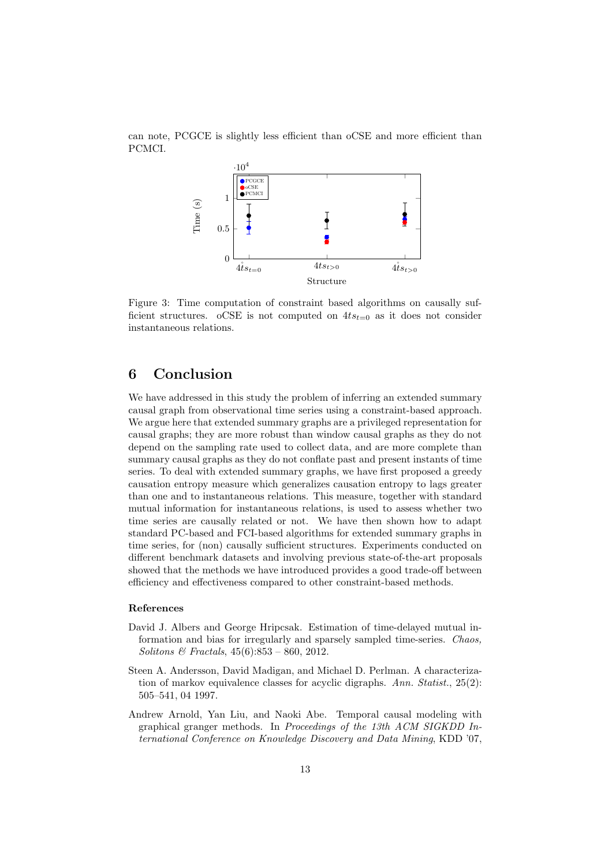<span id="page-12-4"></span>can note, PCGCE is slightly less efficient than oCSE and more efficient than PCMCI.



Figure 3: Time computation of constraint based algorithms on causally sufficient structures. oCSE is not computed on  $4ts_{t=0}$  as it does not consider instantaneous relations.

# <span id="page-12-0"></span>6 Conclusion

We have addressed in this study the problem of inferring an extended summary causal graph from observational time series using a constraint-based approach. We argue here that extended summary graphs are a privileged representation for causal graphs; they are more robust than window causal graphs as they do not depend on the sampling rate used to collect data, and are more complete than summary causal graphs as they do not conflate past and present instants of time series. To deal with extended summary graphs, we have first proposed a greedy causation entropy measure which generalizes causation entropy to lags greater than one and to instantaneous relations. This measure, together with standard mutual information for instantaneous relations, is used to assess whether two time series are causally related or not. We have then shown how to adapt standard PC-based and FCI-based algorithms for extended summary graphs in time series, for (non) causally sufficient structures. Experiments conducted on different benchmark datasets and involving previous state-of-the-art proposals showed that the methods we have introduced provides a good trade-off between efficiency and effectiveness compared to other constraint-based methods.

#### References

- <span id="page-12-1"></span>David J. Albers and George Hripcsak. Estimation of time-delayed mutual information and bias for irregularly and sparsely sampled time-series. Chaos, Solitons & Fractals,  $45(6):853 - 860$ , 2012.
- <span id="page-12-2"></span>Steen A. Andersson, David Madigan, and Michael D. Perlman. A characterization of markov equivalence classes for acyclic digraphs. Ann. Statist.,  $25(2)$ : 505–541, 04 1997.
- <span id="page-12-3"></span>Andrew Arnold, Yan Liu, and Naoki Abe. Temporal causal modeling with graphical granger methods. In Proceedings of the 13th ACM SIGKDD International Conference on Knowledge Discovery and Data Mining, KDD '07,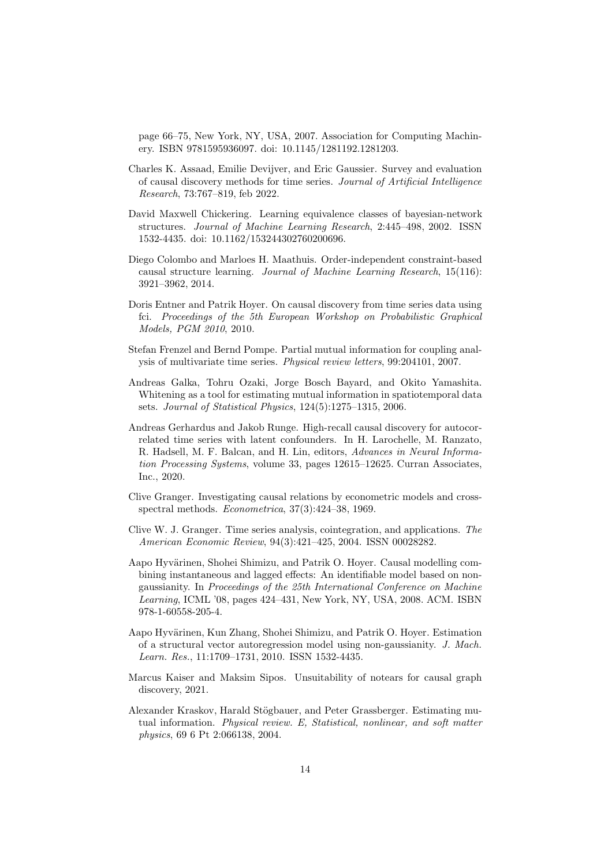page 66–75, New York, NY, USA, 2007. Association for Computing Machinery. ISBN 9781595936097. doi: 10.1145/1281192.1281203.

- <span id="page-13-0"></span>Charles K. Assaad, Emilie Devijver, and Eric Gaussier. Survey and evaluation of causal discovery methods for time series. Journal of Artificial Intelligence Research, 73:767–819, feb 2022.
- <span id="page-13-12"></span>David Maxwell Chickering. Learning equivalence classes of bayesian-network structures. Journal of Machine Learning Research, 2:445–498, 2002. ISSN 1532-4435. doi: 10.1162/153244302760200696.
- <span id="page-13-11"></span>Diego Colombo and Marloes H. Maathuis. Order-independent constraint-based causal structure learning. Journal of Machine Learning Research, 15(116): 3921–3962, 2014.
- <span id="page-13-1"></span>Doris Entner and Patrik Hoyer. On causal discovery from time series data using fci. Proceedings of the 5th European Workshop on Probabilistic Graphical Models, PGM 2010, 2010.
- <span id="page-13-9"></span>Stefan Frenzel and Bernd Pompe. Partial mutual information for coupling analysis of multivariate time series. Physical review letters, 99:204101, 2007.
- <span id="page-13-8"></span>Andreas Galka, Tohru Ozaki, Jorge Bosch Bayard, and Okito Yamashita. Whitening as a tool for estimating mutual information in spatiotemporal data sets. Journal of Statistical Physics, 124(5):1275–1315, 2006.
- <span id="page-13-7"></span>Andreas Gerhardus and Jakob Runge. High-recall causal discovery for autocorrelated time series with latent confounders. In H. Larochelle, M. Ranzato, R. Hadsell, M. F. Balcan, and H. Lin, editors, Advances in Neural Information Processing Systems, volume 33, pages 12615–12625. Curran Associates, Inc., 2020.
- <span id="page-13-3"></span>Clive Granger. Investigating causal relations by econometric models and crossspectral methods. Econometrica, 37(3):424–38, 1969.
- <span id="page-13-4"></span>Clive W. J. Granger. Time series analysis, cointegration, and applications. The American Economic Review, 94(3):421–425, 2004. ISSN 00028282.
- <span id="page-13-5"></span>Aapo Hyvärinen, Shohei Shimizu, and Patrik O. Hoyer. Causal modelling combining instantaneous and lagged effects: An identifiable model based on nongaussianity. In Proceedings of the 25th International Conference on Machine Learning, ICML '08, pages 424–431, New York, NY, USA, 2008. ACM. ISBN 978-1-60558-205-4.
- <span id="page-13-2"></span>Aapo Hyvärinen, Kun Zhang, Shohei Shimizu, and Patrik O. Hover. Estimation of a structural vector autoregression model using non-gaussianity. J. Mach. Learn. Res., 11:1709–1731, 2010. ISSN 1532-4435.
- <span id="page-13-6"></span>Marcus Kaiser and Maksim Sipos. Unsuitability of notears for causal graph discovery, 2021.
- <span id="page-13-10"></span>Alexander Kraskov, Harald Stögbauer, and Peter Grassberger. Estimating mutual information. Physical review. E, Statistical, nonlinear, and soft matter physics, 69 6 Pt 2:066138, 2004.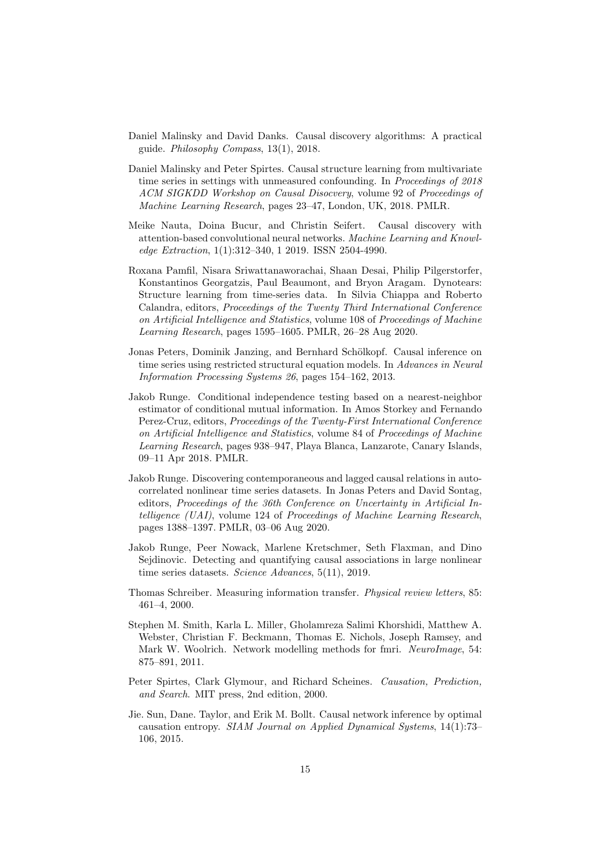- <span id="page-14-5"></span>Daniel Malinsky and David Danks. Causal discovery algorithms: A practical guide. Philosophy Compass, 13(1), 2018.
- <span id="page-14-8"></span>Daniel Malinsky and Peter Spirtes. Causal structure learning from multivariate time series in settings with unmeasured confounding. In Proceedings of 2018 ACM SIGKDD Workshop on Causal Disocvery, volume 92 of Proceedings of Machine Learning Research, pages 23–47, London, UK, 2018. PMLR.
- <span id="page-14-0"></span>Meike Nauta, Doina Bucur, and Christin Seifert. Causal discovery with attention-based convolutional neural networks. Machine Learning and Knowledge Extraction, 1(1):312–340, 1 2019. ISSN 2504-4990.
- <span id="page-14-6"></span>Roxana Pamfil, Nisara Sriwattanaworachai, Shaan Desai, Philip Pilgerstorfer, Konstantinos Georgatzis, Paul Beaumont, and Bryon Aragam. Dynotears: Structure learning from time-series data. In Silvia Chiappa and Roberto Calandra, editors, Proceedings of the Twenty Third International Conference on Artificial Intelligence and Statistics, volume 108 of Proceedings of Machine Learning Research, pages 1595–1605. PMLR, 26–28 Aug 2020.
- <span id="page-14-4"></span>Jonas Peters, Dominik Janzing, and Bernhard Schölkopf. Causal inference on time series using restricted structural equation models. In Advances in Neural Information Processing Systems 26, pages 154–162, 2013.
- <span id="page-14-11"></span>Jakob Runge. Conditional independence testing based on a nearest-neighbor estimator of conditional mutual information. In Amos Storkey and Fernando Perez-Cruz, editors, Proceedings of the Twenty-First International Conference on Artificial Intelligence and Statistics, volume 84 of Proceedings of Machine Learning Research, pages 938–947, Playa Blanca, Lanzarote, Canary Islands, 09–11 Apr 2018. PMLR.
- <span id="page-14-2"></span>Jakob Runge. Discovering contemporaneous and lagged causal relations in autocorrelated nonlinear time series datasets. In Jonas Peters and David Sontag, editors, Proceedings of the 36th Conference on Uncertainty in Artificial Intelligence (UAI), volume 124 of Proceedings of Machine Learning Research, pages 1388–1397. PMLR, 03–06 Aug 2020.
- <span id="page-14-1"></span>Jakob Runge, Peer Nowack, Marlene Kretschmer, Seth Flaxman, and Dino Sejdinovic. Detecting and quantifying causal associations in large nonlinear time series datasets. Science Advances, 5(11), 2019.
- <span id="page-14-9"></span>Thomas Schreiber. Measuring information transfer. Physical review letters, 85: 461–4, 2000.
- <span id="page-14-10"></span>Stephen M. Smith, Karla L. Miller, Gholamreza Salimi Khorshidi, Matthew A. Webster, Christian F. Beckmann, Thomas E. Nichols, Joseph Ramsey, and Mark W. Woolrich. Network modelling methods for fmri. NeuroImage, 54: 875–891, 2011.
- <span id="page-14-3"></span>Peter Spirtes, Clark Glymour, and Richard Scheines. Causation, Prediction, and Search. MIT press, 2nd edition, 2000.
- <span id="page-14-7"></span>Jie. Sun, Dane. Taylor, and Erik M. Bollt. Causal network inference by optimal causation entropy. SIAM Journal on Applied Dynamical Systems, 14(1):73– 106, 2015.